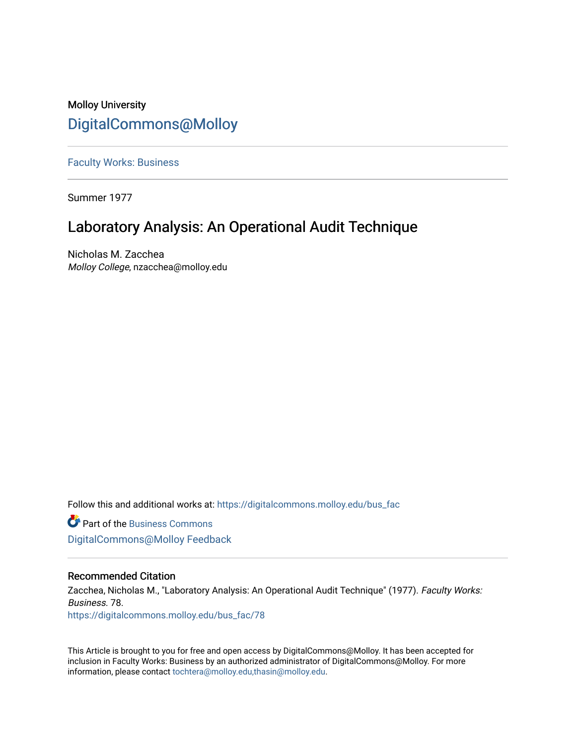# Molloy University [DigitalCommons@Molloy](https://digitalcommons.molloy.edu/)

[Faculty Works: Business](https://digitalcommons.molloy.edu/bus_fac) 

Summer 1977

# Laboratory Analysis: An Operational Audit Technique

Nicholas M. Zacchea Molloy College, nzacchea@molloy.edu

Follow this and additional works at: [https://digitalcommons.molloy.edu/bus\\_fac](https://digitalcommons.molloy.edu/bus_fac?utm_source=digitalcommons.molloy.edu%2Fbus_fac%2F78&utm_medium=PDF&utm_campaign=PDFCoverPages)

**C** Part of the [Business Commons](https://network.bepress.com/hgg/discipline/622?utm_source=digitalcommons.molloy.edu%2Fbus_fac%2F78&utm_medium=PDF&utm_campaign=PDFCoverPages) [DigitalCommons@Molloy Feedback](https://molloy.libwizard.com/f/dcfeedback)

## Recommended Citation

Zacchea, Nicholas M., "Laboratory Analysis: An Operational Audit Technique" (1977). Faculty Works: Business. 78. [https://digitalcommons.molloy.edu/bus\\_fac/78](https://digitalcommons.molloy.edu/bus_fac/78?utm_source=digitalcommons.molloy.edu%2Fbus_fac%2F78&utm_medium=PDF&utm_campaign=PDFCoverPages) 

This Article is brought to you for free and open access by DigitalCommons@Molloy. It has been accepted for inclusion in Faculty Works: Business by an authorized administrator of DigitalCommons@Molloy. For more information, please contact [tochtera@molloy.edu,thasin@molloy.edu.](mailto:tochtera@molloy.edu,thasin@molloy.edu)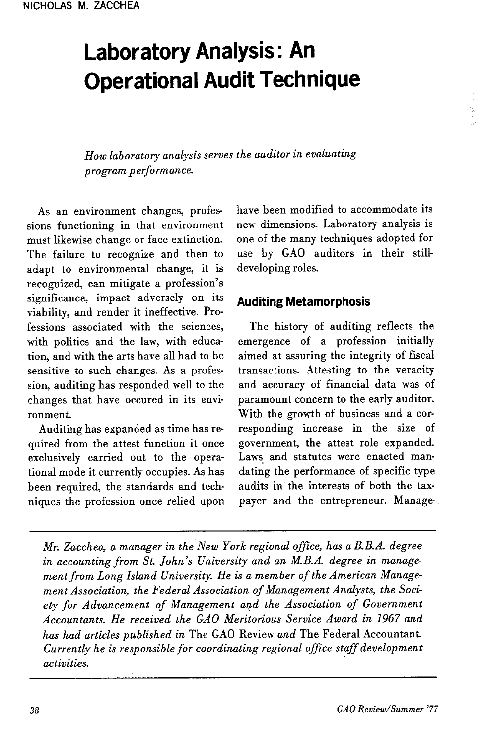# Laboratory Analysis: AnOperational Audit Technique

How laboratory analysis serves the auditor in evaluatingprogram performance.

As an environment changes, professions functioning in that environmentmust likewise change or face extinction. The failure to recognize and then to adapt to environmental change, it isrecognized, can mitigate a profession's significance, impact adversely on its viability, and render it ineffective. Professions associated with the sciences, with politics and the law, with education, and with the arts have all had to be sensitive to such changes. As a profession, auditing has responded well to the changes that have occured in its environment.

Auditing has expanded as time has required from the attest function it once exclusively carried out to the operational mode it currently occupies. As has been required, the standards and techniques the profession once relied upon have been modified to accommodate its new dimensions. Laboratory analysis is one of the many techniques adopted for use by GAO auditors in their stilldeveloping roles.

#### Auditing Metamorphosis

The history of auditing reflects the emergence of a profession initially aimed at assuring the integrity of fiscal transactions. Attesting to the veracity and accuracy of financial data was of paramount concern to the early auditor. With the growth of business and a corresponding increase in the size of government, the attest role expanded. Laws and statutes were enacted mandating the performance of specific type audits in the interests of both the taxpayer and the entrepreneur. Manage-

Mr. Zacchea, a manager in the New York regional office, has a B.B.A. degree in accounting from St. John's University and an M.B.A. degree in management from Long Island University. He is a member of the American Management Association, the Federal Association of Management Analysts, the Society for Advancement of Management and the Association of Government Accountants. He received the GAO Meritorious Service Award in 1967 andhas had articles published in The GAO Review and The Federal Accountant Currently he is responsible for coordinating regional office staff development activities.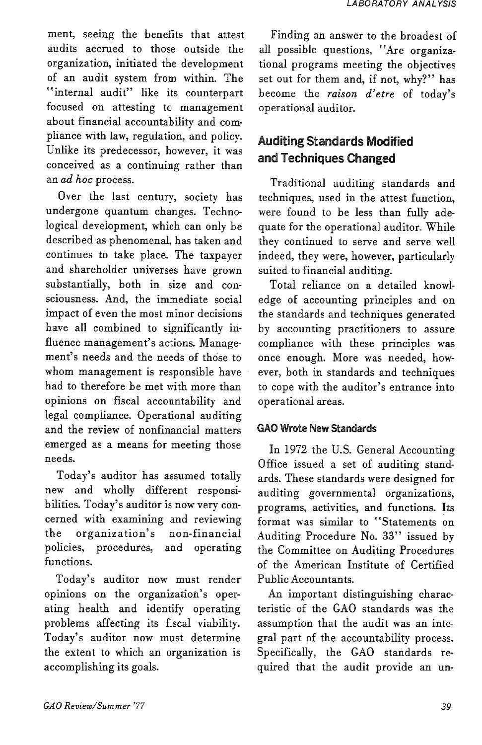ment, seeing the benefits that attest audits accrued to those outside the organization, initiated the development of an audit system from within. The internal audit" like its counterpart focused on attesting to management about financial accountability and compliance with law, regulation, and policy. Unlike its predecessor, however, it was conceived as a continuing rather than an ad hoc process.

Over the last century, society has undergone quantum changes. Technological development, which can only be described as phenomenal, has taken and continues to take place. The taxpayer and shareholder universes have grown substantially, both in size and consciousness. And, the immediate social impact of even the most minor decisions have all combined to significantly influence management's actions. Management's needs and the needs of those to whom management is responsible have had to therefore be met with more than opinions on fiscal accountability and legal compliance. Operational auditing and the review of nonfinancial matters emerged as a means for meeting those needs.

Today's auditor has assumed totally new and wholly different responsibilities. Today's auditor is now very concerned with examining and reviewing the organization's non-financial<br>policies, procedures, and operating procedures, and operating functions.

Today's auditor now must render opinions on the organization's operating health and identify operating problems affecting its fiscal viability. Today's auditor now must determine the extent to which an organization is accomplishing its goals.

Finding an answer to the broadest of all possible questions, "Are organizational programs meeting the objectives set out for them and, if not, why?" has become the raison d'etre of today's operational auditor.

# Auditing Standards Modified and Techniques Changed

Traditional auditing standards and techniques, used in the attest function, were found to be less than fully adequate for the operational auditor. While they continued to serve and serve well indeed, they were, however, particularly suited to financial auditing.

Total reliance on a detailed knowledge of accounting principles and on the standards and techniques generated by accounting practitioners to assure compliance with these principles was once enough. More was needed, however, both in standards and techniques to cope with the auditor's entrance into operational areas.

#### GAO Wrote New Standards

In 1972 the U.S. General Accounting Office issued a set of auditing standards. These standards were designed for auditing governmental organizations, programs, activities, and functions. Its format was similar to "Statements on Auditing Procedure No. 33" issued by the Committee on Auditing Procedures of the American Institute of Certified Public Accountants.

An important distinguishing characteristic of the GAO standards was the assumption that the audit was an integral part of the accountability process. Specifically, the GAO standards required that the audit provide an un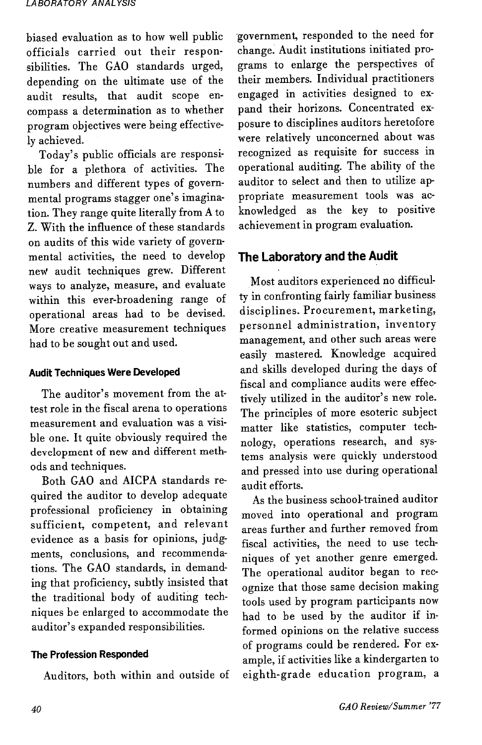biased evaluation as to how well publicfficials carried out their responsibilities. The GAO standards urged,depending on the ultimate use of the audit results, that audit scope encompass a determination as to whether program objectives were being effectively achieved.

oday's public officials are responsible for a plethora of activities. The numbers and different types of governmental programs stagger one's imagination. They range quite literally from A to Z. With the influence of these standardsn audits of this wide variety of governmental activities, the need to develop neW audit techniques grew. Different ways to analyze, measure, and evaluate within this ever-broadening range of operational areas had to be devised. More creative measurement techniqueshad to be sought out and used.

#### Audit Techniques Were Developed

The auditor's movement from the attest role in the fiscal arena to operations measurement and evaluation was a visible one. It quite obviously required the development of new and different methods and techniques.

 Both GAO and AICPA standards required the auditor to develop adequate professional proficiency in obtaining sufficient, competent, and relevant evidence as a basis for opinions, judgments, conclusions, and recommendations. The GAO standards, in demanding that proficiency, subdy insisted that the traditional body of auditing techniques be enlarged to accommodate theauditor's expanded responsibilities.

#### The Profession Responded

Auditors, both within and outside of

government, responded to the need for change. Audit institutions initiated prorams to emarge the perspectives of their members. Individual practitioners engaged in activities designed to expand their horizons. Concentrated exposure to disciplines auditors heretofore were relatively unconcerned about wasecognized as requisite for success in operational auditing. The ability of the perational auditing. The ability of the<br>uditor to select and then to utilize appropriate measurement tools was acknowledged as the key to positiveachievement in program evaluation.

### The Laboratory and the Audit

Most auditors experienced no difficuly in confronting fairly familiar business lisciplines. Procurement, marketing, personnel administration, inventory management, and other such areas were easily mastered. Knowledge acquired and skills developed during the days of fiscal and compliance audits were effectively utilized in the auditor's new role. The principles of more esoteric subjectmatter like statistics, computer techmatter like statistics, computer technology, operations research, and systems analysis were quickly understood and pressed into use during operationalaudit efforts.

 As the business school-trained auditor moved into operational and program areas further and further removed from fiscal activities, the need to use techniques of yet another genre emerged. The operational auditor began to recognize that those same decision making tools used by program participants now had to be used by the auditor if informed opinions on the relative successof programs could be rendered. For exof programs could be rendered. For example, if activities like a kindergarten toeighth-grade education program, a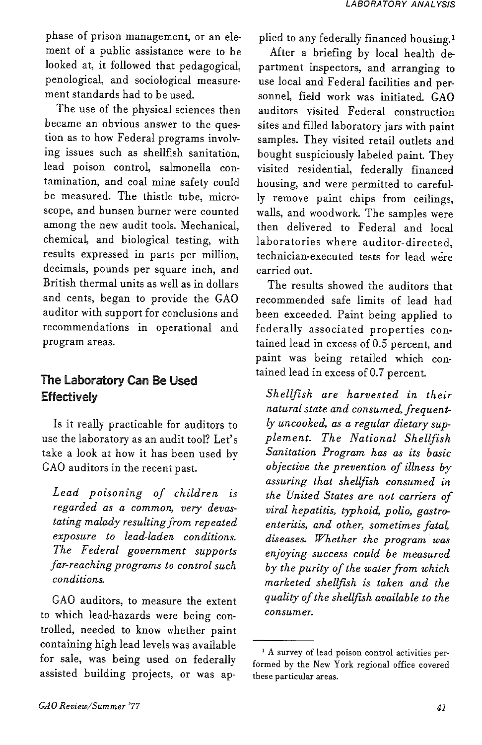phase of prison management, or an element of a public assistance were to be looked at, it followed that pedagogical, penological, and sociological measurement standards had to be used.

The use of the physical sciences then became an obvious answer to the question as to how Federal programs involving issues such as shellfish sanitation, lead poison control, salmonella contamination, and coal mine safety could be measured. The thistle tube, microscope, and bunsen burner were counted among the new audit tools. Mechanical, chemical, and biological testing, with results expressed in parts per million, decimals, pounds per square inch, and British thermal units as well as in dollars and cents, began to provide the GAO auditor with support for conclusions and recommendations in operational and program areas.

## The Laboratory Can Be Used **Effectively**

Is it really practicable for auditors to use the laboratory as an audit tool? Let's take a look at how it has been used by GAO auditors in the recent past.

Lead poisoning of children is regarded as a common, very devastating malady resulting from repeated exposure to lead-laden conditions. The Federal government supports far-reaching programs to control such conditions.

GAO auditors, to measure the extent to which lead-hazards were being controlled, needed to know whether paint containing high lead levels was available for sale, was being used on federally assisted building projects, or was applied to any federally financed housing.'

After a briefing by local health de partment inspectors, and arranging to use local and Federal facilities and per sonnel, field work was initiated. GAO auditors visited Federal construction sites and filled laboratory jars with paint samples. They visited retail outlets and bought suspiciously labeled paint. They visited residential, federally financed housing, and were permitted to careful ly remove paint chips from ceilings, walls, and woodwork. The samples were then delivered to Federal and local laboratories where auditor-directed, technician-executed tests for lead were carried out.

The results showed the auditors that recommended safe limits of lead had been exceeded. Paint being applied to federally associated properties con tained lead in excess of 0.5 percent, and paint was being retailed which con tained lead in excess of 0.7 percent.

Shellfish are harvested in their natural state and consumed, frequent ly uncooked, as a regular dietary sup plement. The National Shellfish Sanitation Program has as its basic objective the prevention of illness by assuring that shellfish consumed in the United States are not carriers of viral hepatitis, typhoid, polio, gastro enteritis, and other, sometimes fatal, diseases. Whether the program was enjoying success could be measured by the purity of the water from which marketed shellfish is taken and the quality of the shellfish available to the consumer.

<sup>&#</sup>x27; A survey of lead poison control activities per formed by the New York regional office covered these particular areas.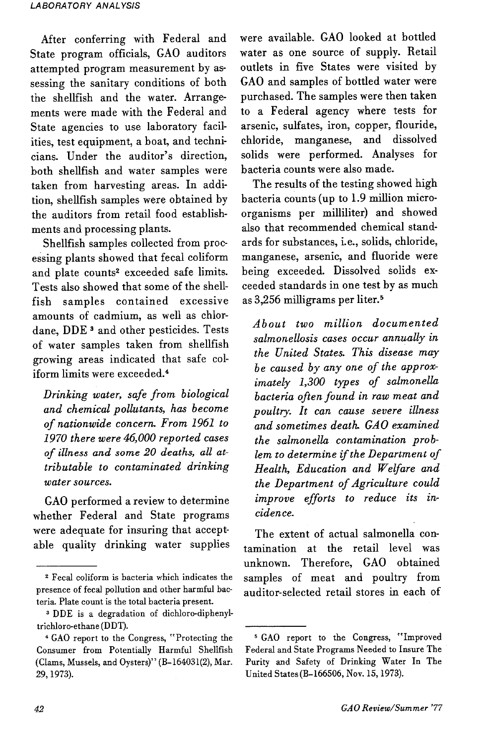After conferring with Federal and State program officials, GAO auditors attempted program measurement by assessing the sanitary conditions of bothhe shellfish and the water. Arrangements were made with the Federal and State agencies to use laboratory facilities, test equipment, a boat, and technicians. Under the auditor's direction, both shellfish and water samples were taken from harvesting areas. In addition, shellfish samples were obtained by the auditors from retail food establishments and processing plants.

 Shellfish samples collected from processing plants showed that fecal coliform and plate counts2 exceeded safe limits. Tests also showed that some of the shellfish samples contained excessive amounts of cadmium, as well as chlordane, DDE<sup>3</sup> and other pesticides. Tests of water samples taken from shellfish growing areas indicated that safe coliform limits were exceeded.4

Drinking water, safe from biological and chemical pollutants, has become of nationwide concern. From 1961 to 2970 there were 46,000 reported cases of illness and some 20 deaths, all attributable to contaminated drinkingwater sources.

GAO performed a review to determine whether Federal and State programs were adequate for insuring that acceptable quality drinking water supplies were available. GAO looked at bottled water as one source of supply. Retail outlets in five States were visited by GAO and samples of bottled water were purchased. The samples were then taken to a Federal agency where tests for arsenic, sulfates, iron, copper, flouride, chloride, manganese, and dissolved solids were performed. Analyses forbacteria counts were also made.

 The results of the testing showed high bacteria counts (up to 1.9 million microorganisms per milliliter) and showed also that recommended chemical standards for substances, i.e., solids, chloride, manganese, arsenic, and fluoride were being exceeded. Dissolved solids exceeded standards in one test by as muchas 3,256 milligrams per liter.5

About two million documented salmonellosis cases occur annually in the United States. This disease may be caused by any one of the approximately 1,300 types of salmonella bacteria often found in raw meat and poultry. It can cause severe illness and sometimes death. GAO examined the salmonella contamination problem to determine if the Department of Health, Education and Welfare and the Department of Agriculture could improve efforts to reduce its incidence.

The extent of actual salmonella contamination at the retail level was unknown. Therefore, GAO obtained samples of meat and poultry fromauditor-selected retail stores in each of

<sup>&</sup>lt;sup>2</sup> Fecal coliform is bacteria which indicates the presence of fecal pollution and other harmful bacteria. Plate count is the total bacteria present.

3 DDE is a degradation of dichloro-diphenyltrichloro-ethane (DDT).

\* GAO report to the Congress, "Protecting the Consumer from Potentially Harmful Shellfish (Clams, Mussels, and Oysters)" (B-164031(2), Mar.29,1973).

<sup>5</sup> GAO report to the Congress, "Improved Federal and State Programs Needed to Insure The Purity and Safety of Drinking Water In TheUnited States (B-166506, Nov. 15,1973).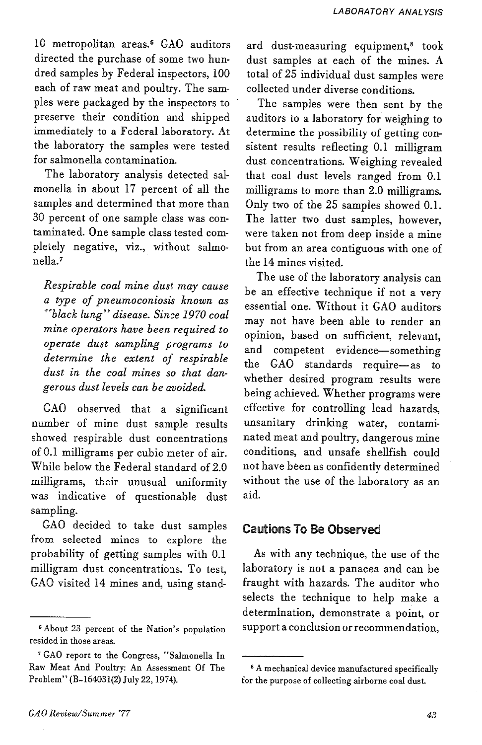10 metropolitan areas.6 GAO auditors directed the purchase of some two hundred samples by Federal inspectors, 100 each of raw meat and poultry. The sampies were packaged by the inspectors to preserve their condition and shipped immediately to a Federal laboratory. At the laboratory the samples were tested for salmonella contamination.

The laboratory analysis detected salmonella in about 17 percent of all the samples and determined that more than 30 percent of one sample class was contaminated. One sample class tested completely negative, viz., without salmonella.<sup>7</sup>

Respirable coal mine dust may cause a type of pneumoconiosis known as 'black lung" disease. Since 1970 coal mine operators have been required to operate dust sampling programs to determine the extent of respirable dust in the coal mines so that dangerous dust levels can be avoided.

GAO observed that a significant number of mine dust sample results showed respirable dust concentrations of 0.1 milligrams per cubic meter of air. While below the Federal standard of 2.0 milligrams, their unusual uniformity was indicative of questionable dust sampling.

GAO decided to take dust samples from selected mines to explore the probability of getting samples with 0.1 milligram dust concentrations. To test, GAO visited 14 mines and, using standard dust-measuring equipment,<sup>8</sup> took dust samples at each of the mines. A total of 25 individual dust samples were collected under diverse conditions.

The samples were then sent by the auditors to a laboratory for weighing to determine the possibility of getting consistent results reflecting 0.1 milligram dust concentrations. Weighing revealed that coal dust levels ranged from 0.1 milligrams to more than 2.0 milligrams. Only two of the 25 samples showed 0.1. The latter two dust samples, however, were taken not from deep inside a mine but from an area contiguous with one of the 14 mines visited.

The use of the laboratory analysis can be an effective technique if not a very essential one. Without it GAO auditors may not have been able to render an opinion, based on sufficient, relevant, and competent evidence—something the GAO standards require—as to whether desired program results were being achieved. Whether programs were effective for controlling lead hazards, unsanitary drinking water, contaminated meat and poultry, dangerous mine conditions, and unsafe shellfish could not have been as confidently determined without the use of the laboratory as an aid.

#### Cautions To Be Observed

As with any technique, the use of the laboratory is not a panacea and can be fraught with hazards. The auditor who selects the technique to help make a determination, demonstrate a point, or support a conclusion or recommendation,

<sup>&</sup>lt;sup>6</sup> About 23 percent of the Nation's population resided in those areas.

<sup>7</sup> GAO report to the Congress, "Salmonella In Raw Meat And Poultry: An Assessment Of The Problem" (B-164031(2) July 22,1974).

<sup>8</sup> A mechanical device manufactured specifically for the purpose of collecting airborne coal dust.